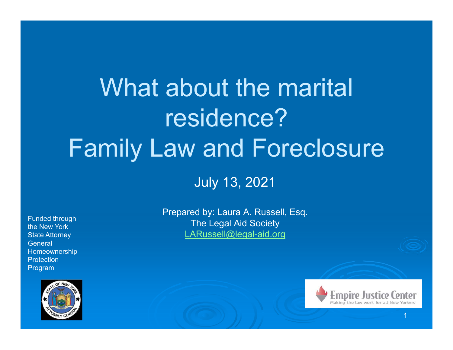# What about the marital residence? Family Law and Foreclosure

July 13, 2021

Funded through the New York State Attorney **General** Homeownership **Protection** Program



Prepared by: Laura A. Russell, Esq. The Legal Aid Society LARussell@legal-aid.org

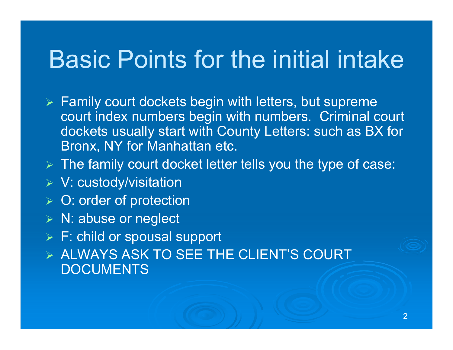# Basic Points for the initial intake

- $\triangleright$  Family court dockets begin with letters, but supreme court index numbers begin with numbers. Criminal court dockets usually start with County Letters: such as BX for Bronx, NY for Manhattan etc.
- $\triangleright$  The family court docket letter tells you the type of case:
- V: custody/visitation
- **▶ O: order of protection**
- N: abuse or neglect
- F: child or spousal support
- $\triangleright$  ALWAYS ASK TO SEE THE CLIENT'S COURT DOCUMENTS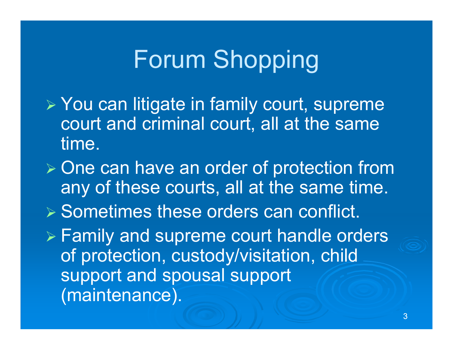# Forum Shopping

- You can litigate in family court, supreme court and criminal court, all at the same time.
- $\triangleright$  One can have an order of protection from any of these courts, all at the same time.
- $\triangleright$  Sometimes these orders can conflict.

 Family and supreme court handle orders of protection, custody/visitation, child support and spousal support (maintenance).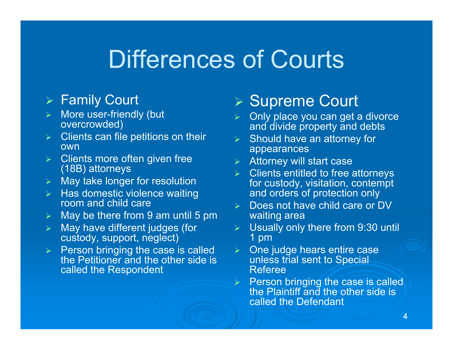# Differences of Courts

#### Family Court

- $\blacktriangleright$  More user-friendly (but overcrowded)
- $\blacktriangleright$  Clients can file petitions on their own
- $\blacktriangleright$  Clients more often given free (18B) attorneys
- $\blacktriangleright$ May take longer for resolution
- $\triangleright$  Has domestic violence waiting room and child care
- $\blacktriangleright$ May be there from 9 am until 5 pm
- $\blacktriangleright$  May have different judges (for custody, support, neglect)
- $\triangleright$  Person bringing the case is called the Petitioner and the other side is called the Respondent

#### **▶ Supreme Court**

- $\blacktriangleright$ **▶ Only place you can get a divorce** and divide property and debts
- $\triangleright$  Should have an attorney for appearances
- $\triangleright$  Attorney will start case
- $\triangleright$  Clients entitled to free attorneys for custody, visitation, contempt and orders of protection only
- $\triangleright$  Does not have child care or DV waiting area
- Usually only there from 9:30 until 1 pm
- $\blacktriangleright$  One judge hears entire case unless trial sent to Special Referee
- $\triangleright$  Person bringing the case is called the Plaintiff and the other side is called the Defendant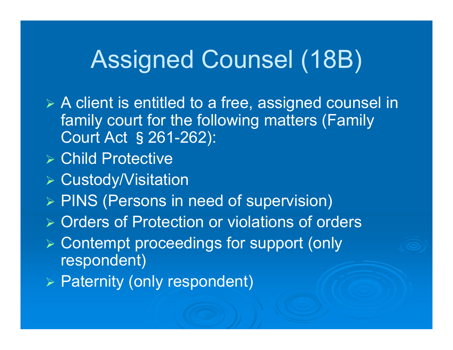# Assigned Counsel (18B)

- A client is entitled to a free, assigned counsel in family court for the following matters (Family Court Act §261-262):
- Child Protective
- Custody/Visitation
- $\triangleright$  PINS (Persons in need of supervision)
- **▶ Orders of Protection or violations of orders**
- Contempt proceedings for support (only respondent)
- $\triangleright$  Paternity (only respondent)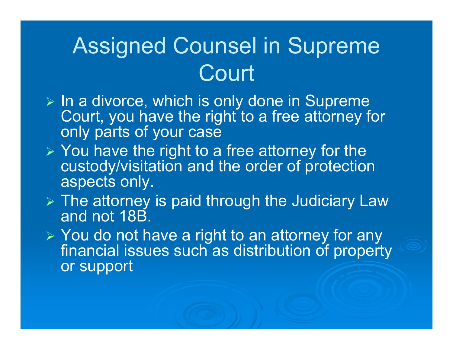# Assigned Counsel in Supreme Court

- $\triangleright$  In a divorce, which is only done in Supreme Court, you have the right to a free attorney for only parts of your case
- $\triangleright$  You have the right to a free attorney for the custody/visitation and the order of protection aspects only.
- $\triangleright$  The attorney is paid through the Judiciary Law and not 18B.
- ► You do not have a right to an attorney for any financial issues such as distribution of property or support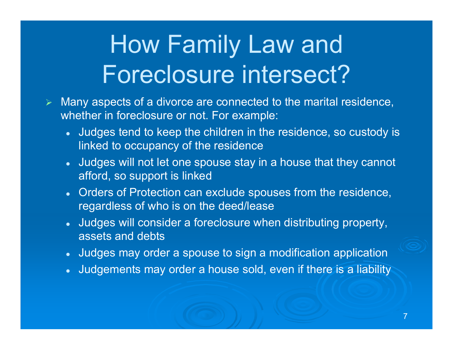# How Family Law and Foreclosure intersect?

- $\blacktriangleright$  Many aspects of a divorce are connected to the marital residence, whether in foreclosure or not. For example:
	- Judges tend to keep the children in the residence, so custody is linked to occupancy of the residence
	- Judges will not let one spouse stay in a house that they cannot afford, so support is linked
	- Orders of Protection can exclude spouses from the residence, regardless of who is on the deed/lease
	- Judges will consider a foreclosure when distributing property, assets and debts
	- Judges may order a spouse to sign a modification application
	- $\bullet$ Judgements may order a house sold, even if there is a liability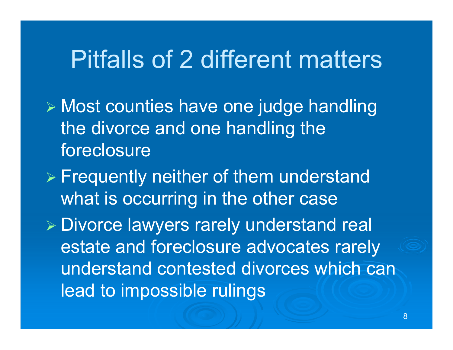# Pitfalls of 2 different matters

- Most counties have one judge handling the divorce and one handling the foreclosure
- $\triangleright$  Frequently neither of them understand what is occurring in the other case

 Divorce lawyers rarely understand real estate and foreclosure advocates rarely understand contested divorces which can lead to impossible rulings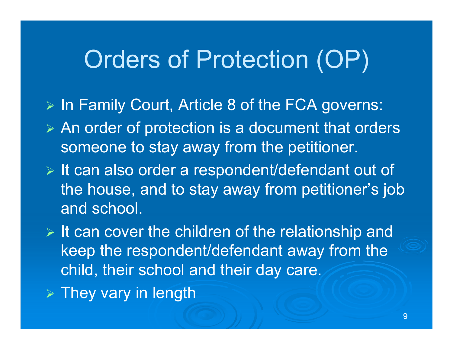# Orders of Protection (OP)

- > In Family Court, Article 8 of the FCA governs:
- $\triangleright$  An order of protection is a document that orders someone to stay away from the petitioner.
- $\triangleright$  It can also order a respondent/defendant out of the house, and to stay away from petitioner's job and school.
- $\triangleright$  It can cover the children of the relationship and keep the respondent/defendant away from the child, their school and their day care.
- $\triangleright$  They vary in length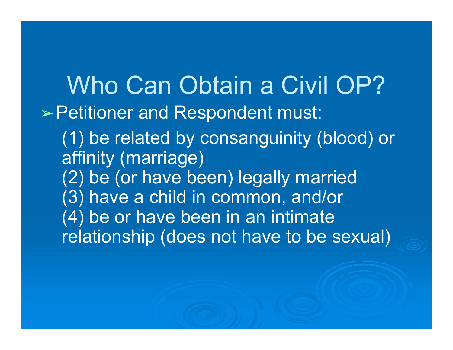Who Can Obtain a Civil OP? ➢Petitioner and Respondent must: (1) be related by consanguinity (blood) or affinity (marriage) (2) be (or have been) legally married (3) have a child in common, and/or (4) be or have been in an intimate relationship (does not have to be sexual)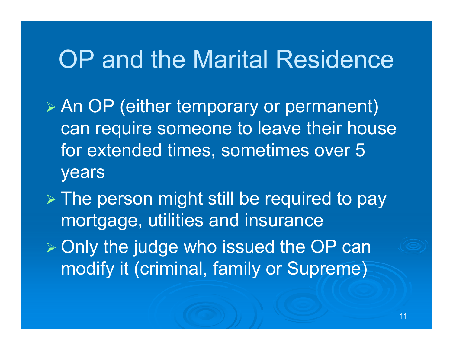# OP and the Marital Residence

 An OP (either temporary or permanent) can require someone to leave their house for extended times, sometimes over 5 years

 $\triangleright$  The person might still be required to pay mortgage, utilities and insurance  $\triangleright$  Only the judge who issued the OP can modify it (criminal, family or Supreme)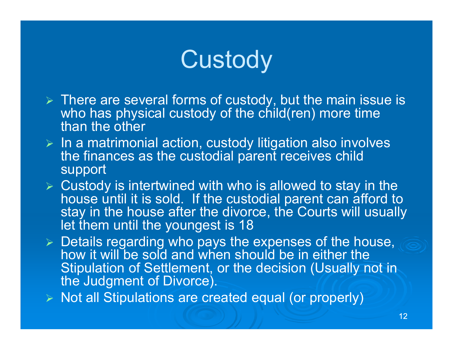# **Custody**

- $\triangleright$  There are several forms of custody, but the main issue is who has physical custody of the child(ren) more time than the other
- $\triangleright$  In a matrimonial action, custody litigation also involves the finances as the custodial parent receives child support
- $\triangleright$  Custody is intertwined with who is allowed to stay in the house until it is sold. If the custodial parent can afford to stay in the house after the divorce, the Courts will usually let them until the youngest is 18
- $\triangleright$  Details regarding who pays the expenses of the house, how it will be sold and when should be in either the Stipulation of Settlement, or the decision (Usually not in the Judgment of Divorce).
- $\triangleright$  Not all Stipulations are created equal (or properly)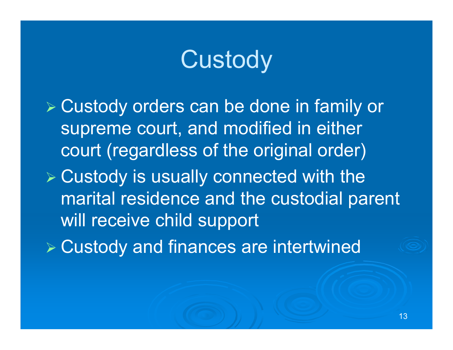# **Custody**

 Custody orders can be done in family or supreme court, and modified in either court (regardless of the original order) Custody is usually connected with the marital residence and the custodial parent will receive child support Custody and finances are intertwined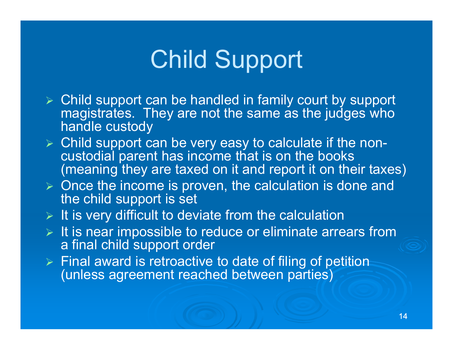# Child Support

- Child support can be handled in family court by support magistrates. They are not the same as the judges who handle custody
- Child support can be very easy to calculate if the noncustodial parent has income that is on the books (meaning they are taxed on it and report it on their taxes)
- $\triangleright$  Once the income is proven, the calculation is done and the child support is set
- $\triangleright$  It is very difficult to deviate from the calculation
- $\triangleright$  It is near impossible to reduce or eliminate arrears from a final child support order
- $\triangleright$  Final award is retroactive to date of filing of petition (unless agreement reached between parties)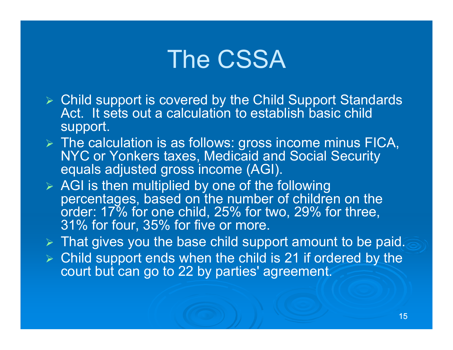# The CSSA

- Child support is covered by the Child Support Standards Act. It sets out a calculation to establish basic child support.
- $\triangleright$  The calculation is as follows: gross income minus FICA, NYC or Yonkers taxes, Medicaid and Social Security equals adjusted gross income (AGI).
- $\triangleright$  AGI is then multiplied by one of the following percentages, based on the number of children on the order: 17% for one child, 25% for two, 29% for three, 31% for four, 35% for five or more.
- $\triangleright$  That gives you the base child support amount to be paid.
- $\triangleright$  Child support ends when the child is 21 if ordered by the court but can go to 22 by parties' agreement.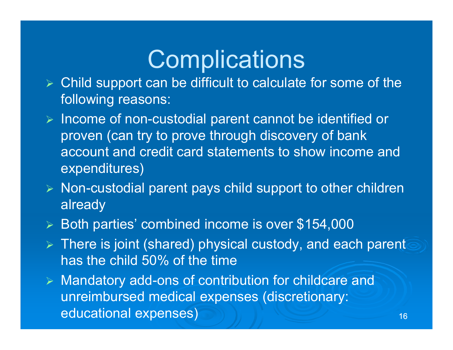# **Complications**

- $\triangleright$  Child support can be difficult to calculate for some of the following reasons:
- $\triangleright$  Income of non-custodial parent cannot be identified or proven (can try to prove through discovery of bank account and credit card statements to show income and expenditures)
- $\triangleright$  Non-custodial parent pays child support to other children already
- $\blacktriangleright$ Both parties' combined income is over \$154,000
- $\triangleright$  There is joint (shared) physical custody, and each parent has the child 50% of the time
- Mandatory add-ons of contribution for childcare and unreimbursed medical expenses (discretionary: educational expenses)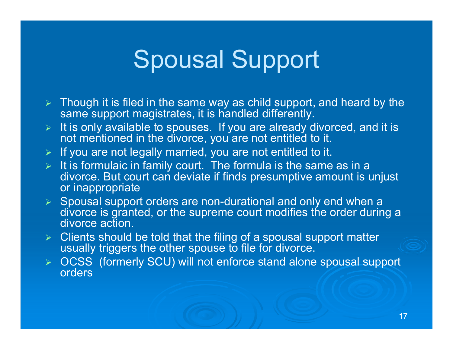# Spousal Support

- $\triangleright$  Though it is filed in the same way as child support, and heard by the same support magistrates, it is handled differently.
- $\blacktriangleright$  It is only available to spouses. If you are already divorced, and it is not mentioned in the divorce, you are not entitled to it.
- $\triangleright$  If you are not legally married, you are not entitled to it.
- $\triangleright$  It is formulaic in family court. The formula is the same as in a divorce. But court can deviate if finds presumptive amount is unjust or inappropriate
- $\triangleright$  Spousal support orders are non-durational and only end when a divorce is granted, or the supreme court modifies the order during a divorce action.
- $\triangleright$  Clients should be told that the filing of a spousal support matter usually triggers the other spouse to file for divorce.
- OCSS (formerly SCU) will not enforce stand alone spousal support orders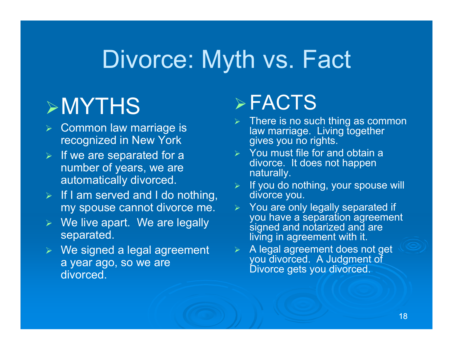# Divorce: Myth vs. Fact

## MYTHS

- $\triangleright$  Common law marriage is recognized in New York
- $\triangleright$  If we are separated for a number of years, we are automatically divorced.
- $\triangleright$  If I am served and I do nothing, my spouse cannot divorce me.
- We live apart. We are legally separated.
- We signed a legal agreement a year ago, so we are divorced.

#### $\triangleright$  FACTS

- $\triangleright$  There is no such thing as common law marriage. Living together gives you no rights.
- $\triangleright$  You must file for and obtain a divorce. It does not happen naturally.
- $\triangleright$  If you do nothing, your spouse will divorce you.
- $\triangleright$  You are only legally separated if you have a separation agreement signed and notarized and are living in agreement with it.
- A legal agreement does not get you divorced. A Judgment of Divorce gets you divorced.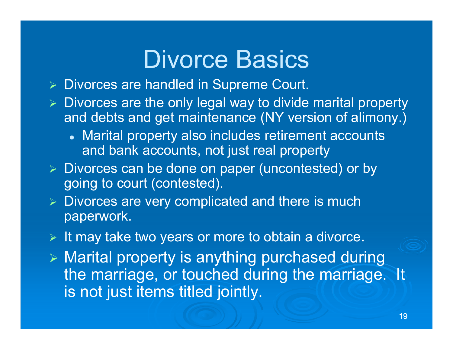# Divorce Basics

- Divorces are handled in Supreme Court.
- $\triangleright$  Divorces are the only legal way to divide marital property and debts and get maintenance (NY version of alimony.)
	- Marital property also includes retirement accounts and bank accounts, not just real property
- Divorces can be done on paper (uncontested) or by going to court (contested).
- $\triangleright$  Divorces are very complicated and there is much paperwork.
- $\triangleright$  It may take two years or more to obtain a divorce.
- $\triangleright$  Marital property is anything purchased during the marriage, or touched during the marriage. It is not just items titled jointly.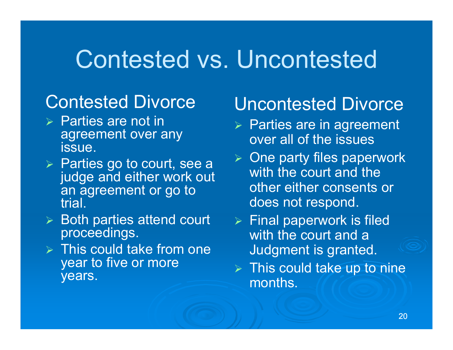# Contested vs. Uncontested

#### Contested Divorce

- $\triangleright$  Parties are not in agreement over any issue.
- **▶ Parties go to court, see a** judge and either work out an agreement or go to trial.
- $\triangleright$  Both parties attend court proceedings.
- $\triangleright$  This could take from one year to five or more years.

#### Uncontested Divorce

- $\triangleright$  Parties are in agreement over all of the issues
- $\triangleright$  One party files paperwork with the court and the other either consents or does not respond.
- $\triangleright$  Final paperwork is filed with the court and a Judgment is granted.
- $\triangleright$  This could take up to nine months.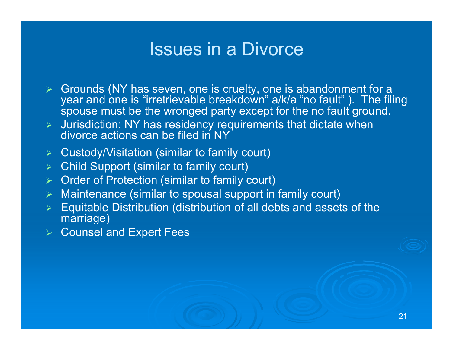#### Issues in a Divorce

- Grounds (NY has seven, one is cruelty, one is abandonment for a year and one is "irretrievable breakdown" a/k/a "no fault" ). The filing spouse must be the wronged party except for the no fault ground.
- $\triangleright$  Jurisdiction: NY has residency requirements that dictate when divorce actions can be filed in NY
- Custody/Visitation (similar to family court)
- $\blacktriangleright$ Child Support (similar to family court)
- $\blacktriangleright$ Order of Protection (similar to family court)
- $\blacktriangleright$ Maintenance (similar to spousal support in family court)
- $\blacktriangleright$  Equitable Distribution (distribution of all debts and assets of the marriage)
- **▶ Counsel and Expert Fees**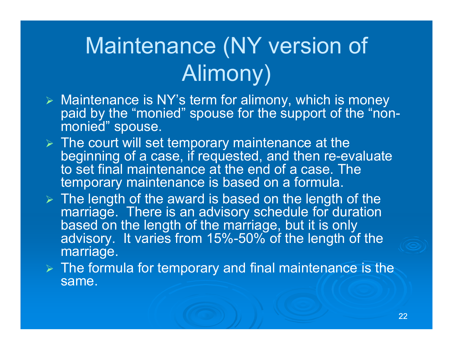# Maintenance (NY version of Alimony)

- Maintenance is NY's term for alimony, which is money paid by the "monied" spouse for the support of the "nonmonied" spouse.
- $\triangleright$  The court will set temporary maintenance at the beginning of a case, if requested, and then re-evaluate to set final maintenance at the end of a case. The temporary maintenance is based on a formula.
- $\triangleright$  The length of the award is based on the length of the marriage. There is an advisory schedule for duration based on the length of the marriage, but it is only advisory. It varies from 15%-50% of the length of the marriage.
- $\triangleright$  The formula for temporary and final maintenance is the same.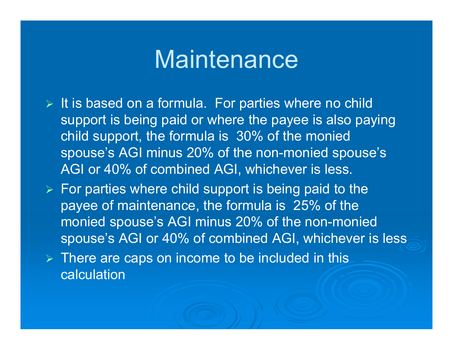#### Maintenance

- $\triangleright$  It is based on a formula. For parties where no child support is being paid or where the payee is also paying child support, the formula is 30% of the monied spouse's AGI minus 20% of the non-monied spouse's AGI or 40% of combined AGI, whichever is less.
- $\triangleright$  For parties where child support is being paid to the payee of maintenance, the formula is 25% of the monied spouse's AGI minus 20% of the non-monied spouse's AGI or 40% of combined AGI, whichever is less
- $\triangleright$  There are caps on income to be included in this calculation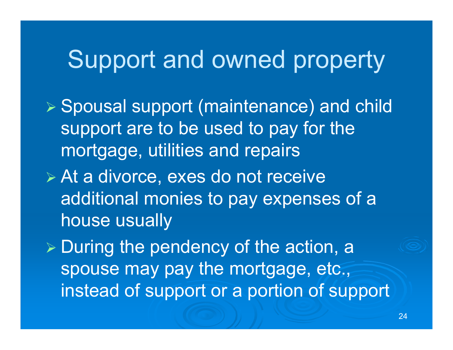# Support and owned property

- Spousal support (maintenance) and child support are to be used to pay for the mortgage, utilities and repairs
- At a divorce, exes do not receive additional monies to pay expenses of a house usually

 $\triangleright$  During the pendency of the action, a spouse may pay the mortgage, etc., instead of support or a portion of support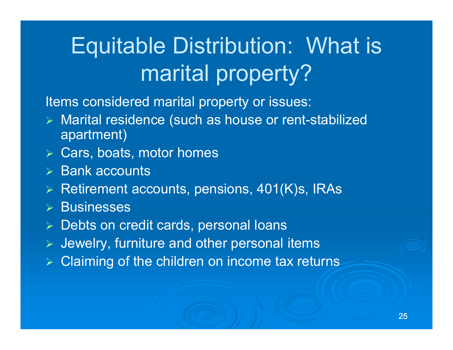# Equitable Distribution: What is marital property?

Items considered marital property or issues:

- Marital residence (such as house or rent-stabilized apartment)
- Cars, boats, motor homes
- $\triangleright$  Bank accounts
- $\triangleright$  Retirement accounts, pensions, 401(K)s, IRAs
- $\triangleright$  Businesses
- **▶ Debts on credit cards, personal loans**
- $\blacktriangleright$ Jewelry, furniture and other personal items
- $\triangleright$  Claiming of the children on income tax returns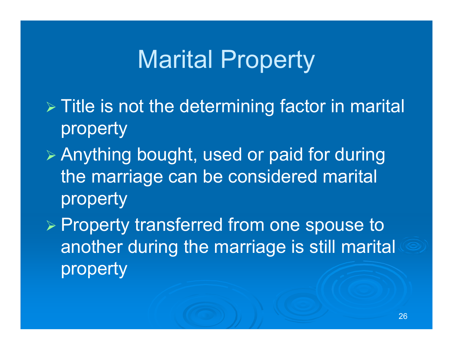# Marital Property

- $\triangleright$  Title is not the determining factor in marital property
- Anything bought, used or paid for during the marriage can be considered marital property

 $\triangleright$  Property transferred from one spouse to another during the marriage is still marital property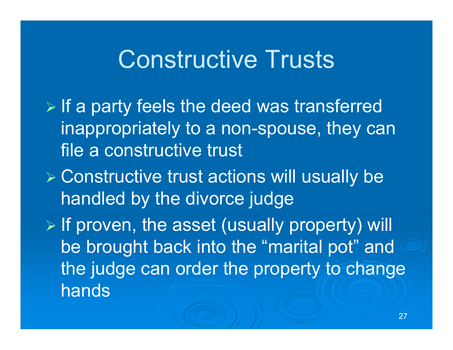# Constructive Trusts

- $\triangleright$  If a party feels the deed was transferred inappropriately to a non-spouse, they can file a constructive trust
- Constructive trust actions will usually be handled by the divorce judge
- $\triangleright$  If proven, the asset (usually property) will be brought back into the "marital pot" and the judge can order the property to change hands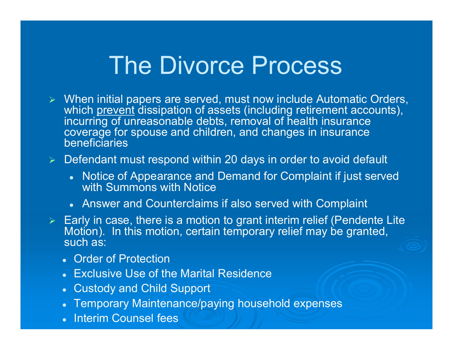#### The Divorce Process

 When initial papers are served, must now include Automatic Orders, which prevent dissipation of assets (including retirement accounts), incurring of unreasonable debts, removal of health insurance coverage for spouse and children, and changes in insurance beneficiaries

#### $\blacktriangleright$ Defendant must respond within 20 days in order to avoid default

- Notice of Appearance and Demand for Complaint if just served with Summons with Notice
- Answer and Counterclaims if also served with Complaint
- $\triangleright$  Early in case, there is a motion to grant interim relief (Pendente Lite Motion). In this motion, certain temporary relief may be granted, such as:
	- Order of Protection
	- $\bullet$ Exclusive Use of the Marital Residence
	- Custody and Child Support
	- Temporary Maintenance/paying household expenses
	- Interim Counsel fees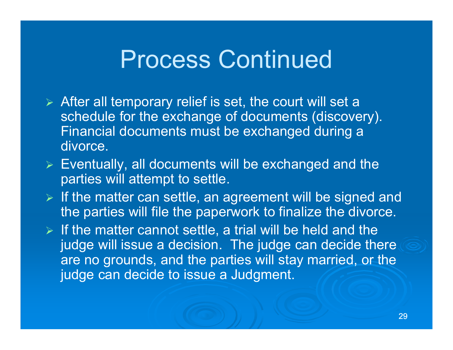### Process Continued

- $\triangleright$  After all temporary relief is set, the court will set a schedule for the exchange of documents (discovery). Financial documents must be exchanged during a divorce.
- $\triangleright$  Eventually, all documents will be exchanged and the parties will attempt to settle.
- $\triangleright$  If the matter can settle, an agreement will be signed and the parties will file the paperwork to finalize the divorce.
- $\triangleright$  If the matter cannot settle, a trial will be held and the judge will issue a decision. The judge can decide there are no grounds, and the parties will stay married, or the judge can decide to issue a Judgment.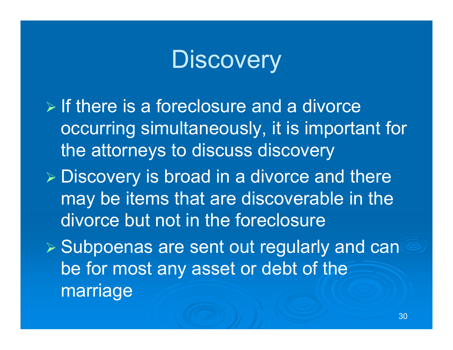# **Discovery**

- $\triangleright$  If there is a foreclosure and a divorce occurring simultaneously, it is important for the attorneys to discuss discovery
- $\triangleright$  Discovery is broad in a divorce and there may be items that are discoverable in the divorce but not in the foreclosure
- $\triangleright$  Subpoenas are sent out regularly and cand be for most any asset or debt of the marriage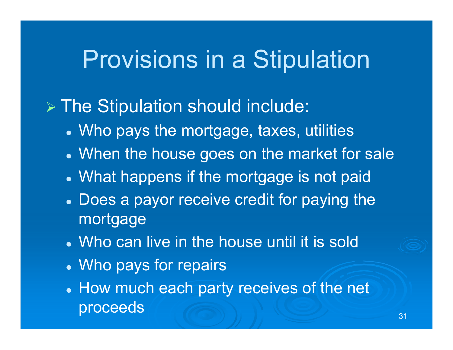# Provisions in a Stipulation

#### The Stipulation should include:

- Who pays the mortgage, taxes, utilities
- When the house goes on the market for sale
- What happens if the mortgage is not paid
- Does a payor receive credit for paying the mortgage
- Who can live in the house until it is sold
- Who pays for repairs
- How much each party receives of the net  $\mathsf{process}$   $\left(\begin{array}{c}\right.\\ \right.\\ \left. \right.\\ \left. \right.\\ \left. \right.\\ \left. \right.\\ \left. \right.\\ \left. \right.\\ \left. \right.\\ \left. \right.\\ \left. \right.\\ \left. \right.\\ \left. \right.\\ \left. \right.\\ \left. \right.\\ \left. \right.\\ \left. \right.\\ \left. \right.\\ \left. \right.\\ \left. \right.\\ \left. \right.\\ \left. \right.\\ \left. \right.\\ \left. \right.\\ \left. \right.\\ \left. \right.\\ \left. \right.\\ \left. \right.\\ \left. \right.\\ \left.\\ \left$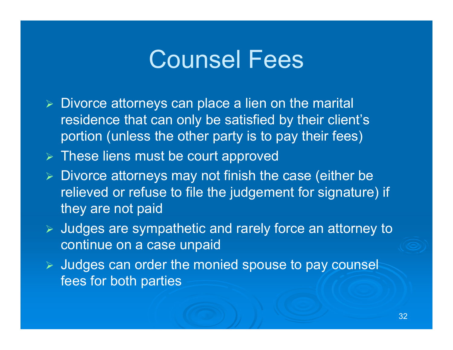## Counsel Fees

- $\triangleright$  Divorce attorneys can place a lien on the marital residence that can only be satisfied by their client's portion (unless the other party is to pay their fees)
- $\triangleright$  These liens must be court approved
- $\triangleright$  Divorce attorneys may not finish the case (either be relieved or refuse to file the judgement for signature) if they are not paid
- Judges are sympathetic and rarely force an attorney to continue on a case unpaid
- > Judges can order the monied spouse to pay counsel fees for both parties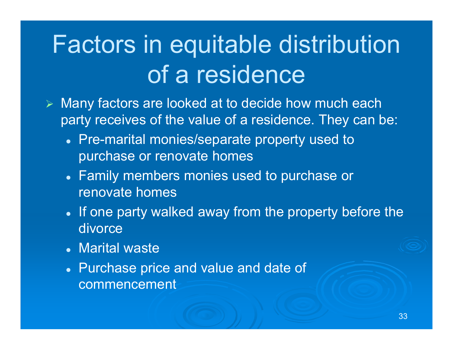# Factors in equitable distribution of a residence

- Many factors are looked at to decide how much each party receives of the value of a residence. They can be:
	- Pre-marital monies/separate property used to purchase or renovate homes
	- Family members monies used to purchase or renovate homes
	- If one party walked away from the property before the divorce
	- Marital waste
	- Purchase price and value and date of commencement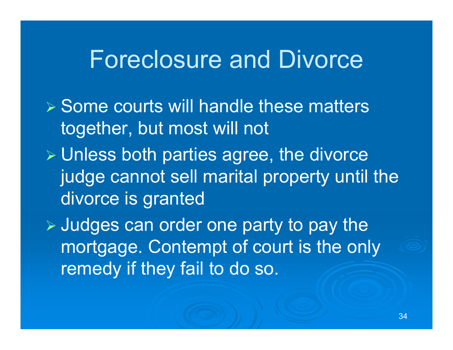#### Foreclosure and Divorce

 $\triangleright$  Some courts will handle these matters together, but most will not Unless both parties agree, the divorce judge cannot sell marital property until the divorce is granted  $\triangleright$  Judges can order one party to pay the

mortgage. Contempt of court is the only remedy if they fail to do so.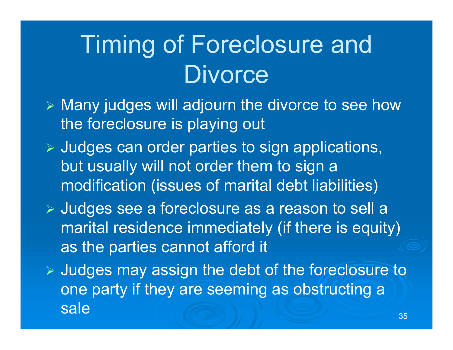# Timing of Foreclosure and **Divorce**

- $\triangleright$  Many judges will adjourn the divorce to see how the foreclosure is playing out
- $\triangleright$  Judges can order parties to sign applications, but usually will not order them to sign a modification (issues of marital debt liabilities)
- Judges see a foreclosure as a reason to sell a marital residence immediately (if there is equity) as the parties cannot afford it
- $\triangleright$  Judges may assign the debt of the foreclosure to one party if they are seeming as obstructing a sale<u>35 States and the second control of the second control of the second control of the second control of the second</u>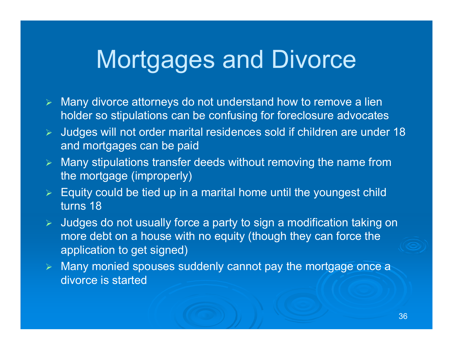# Mortgages and Divorce

- $\blacktriangleright$  Many divorce attorneys do not understand how to remove a lien holder so stipulations can be confusing for foreclosure advocates
- $\blacktriangleright$  Judges will not order marital residences sold if children are under 18 and mortgages can be paid
- $\blacktriangleright$  Many stipulations transfer deeds without removing the name from the mortgage (improperly)
- $\blacktriangleright$  Equity could be tied up in a marital home until the youngest child turns 18
- $\blacktriangleright$  Judges do not usually force a party to sign a modification taking on more debt on a house with no equity (though they can force the application to get signed)
- $\blacktriangleright$ Many monied spouses suddenly cannot pay the mortgage once a divorce is started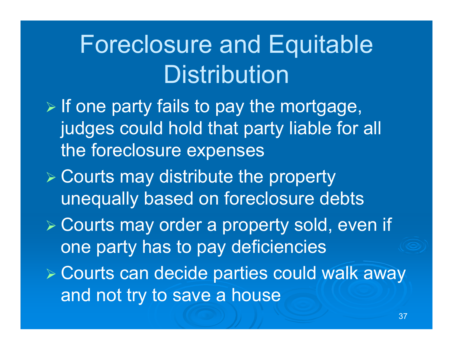# Foreclosure and Equitable **Distribution**

- $\triangleright$  If one party fails to pay the mortgage, judges could hold that party liable for all the foreclosure expenses
- $\triangleright$  Courts may distribute the property unequally based on foreclosure debts
- Courts may order a property sold, even if one party has to pay deficiencies
- Courts can decide parties could walk away and not try to save a house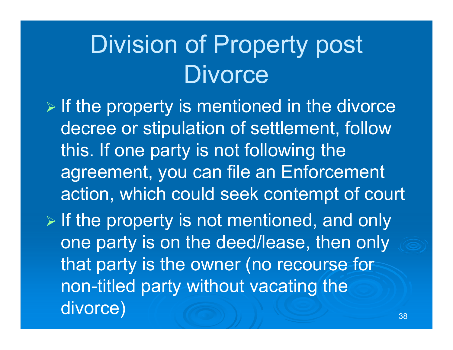# Division of Property post **Divorce**

 $\triangleright$  If the property is mentioned in the divorce decree or stipulation of settlement, follow this. If one party is not following the agreement, you can file an Enforcement action, which could seek contempt of court  $\triangleright$  If the property is not mentioned, and only one party is on the deed/lease, then only that party is the owner (no recourse for non-titled party without vacating the divorce) <sup>38</sup>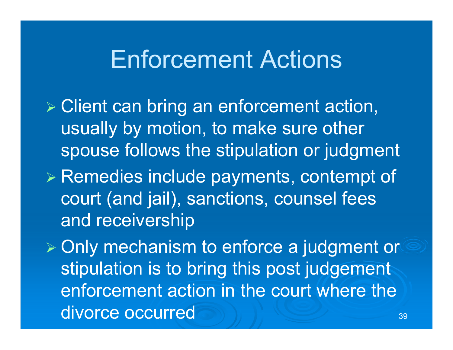# Enforcement Actions

 Client can bring an enforcement action, usually by motion, to make sure other spouse follows the stipulation or judgment

 $\triangleright$  Remedies include payments, contempt of court (and jail), sanctions, counsel fees and receivership

**≽ Only mechanism to enforce a judgment or** stipulation is to bring this post judgement enforcement action in the court where the divorce occurred 39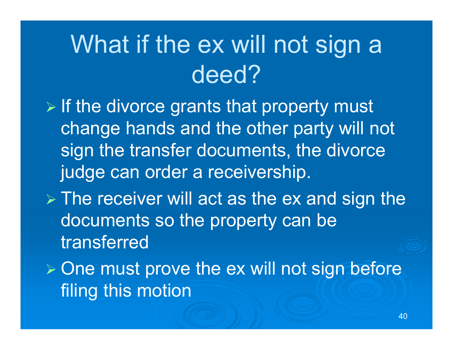# What if the ex will not sign a deed?

 $\triangleright$  If the divorce grants that property must change hands and the other party will not sign the transfer documents, the divorce judge can order a receivership.

 $\triangleright$  The receiver will act as the ex and sign the documents so the property can be transferred

 $\triangleright$  One must prove the ex will not sign before filing this motion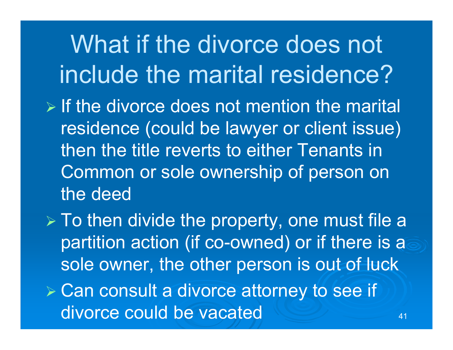What if the divorce does not include the marital residence?

- $\triangleright$  If the divorce does not mention the marital residence (could be lawyer or client issue) then the title reverts to either Tenants in Common or sole ownership of person on the deed
- $\triangleright$  To then divide the property, one must file a partition action (if co-owned) or if there is a sole owner, the other person is out of luck
- Can consult a divorce attorney to see if divorce could be vacated  $\frac{1}{41}$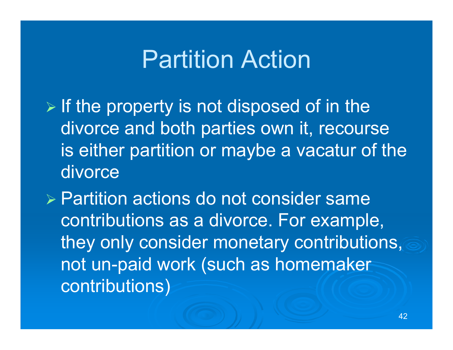## Partition Action

 $\triangleright$  If the property is not disposed of in the divorce and both parties own it, recourse is either partition or maybe a vacatur of the divorce

 Partition actions do not consider same contributions as a divorce. For example, they only consider monetary contributions, not un-paid work (such as homemaker contributions)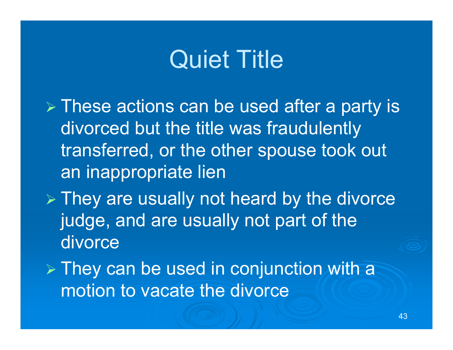# Quiet Title

- $\triangleright$  These actions can be used after a party is divorced but the title was fraudulently transferred, or the other spouse took out an inappropriate lien
- $\triangleright$  They are usually not heard by the divorce judge, and are usually not part of the divorce
- $\triangleright$  They can be used in conjunction with a motion to vacate the divorce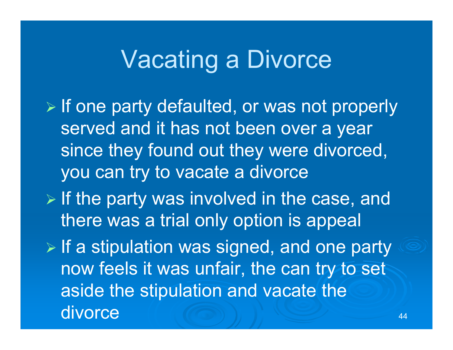# Vacating a Divorce

 $\triangleright$  If one party defaulted, or was not properly served and it has not been over a year since they found out they were divorced, you can try to vacate a divorce

 $\triangleright$  If the party was involved in the case, and there was a trial only option is appeal

 $\triangleright$  If a stipulation was signed, and one party now feels it was unfair, the can try to set aside the stipulation and vacate the divorce 44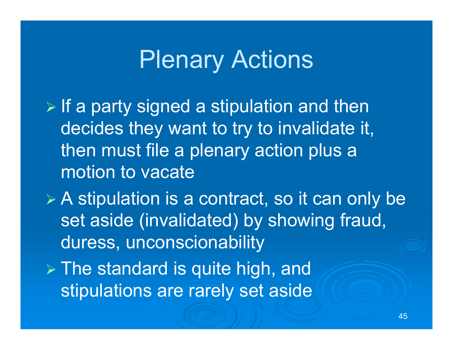# **Plenary Actions**

 $\triangleright$  If a party signed a stipulation and then decides they want to try to invalidate it, then must file a plenary action plus a motion to vacate

 A stipulation is a contract, so it can only be set aside (invalidated) by showing fraud, duress, unconscionability

 $\triangleright$  The standard is quite high, and stipulations are rarely set aside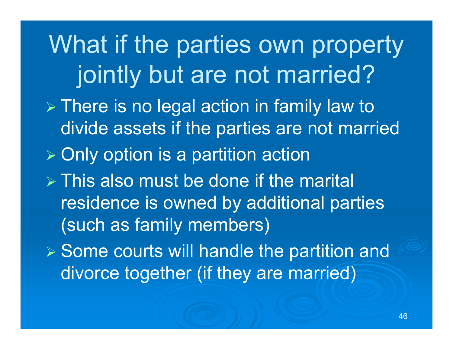What if the parties own property jointly but are not married?  $\triangleright$  There is no legal action in family law to divide assets if the parties are not married  $\triangleright$  Only option is a partition action  $\triangleright$  This also must be done if the marital residence is owned by additional parties (such as family members)  $\triangleright$  Some courts will handle the partition and divorce together (if they are married)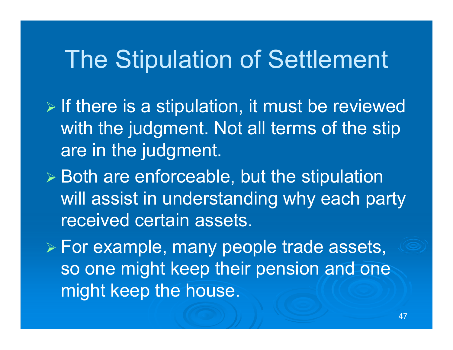# The Stipulation of Settlement

- $\triangleright$  If there is a stipulation, it must be reviewed with the judgment. Not all terms of the stip are in the judgment.
- $\triangleright$  Both are enforceable, but the stipulation will assist in understanding why each party received certain assets.
- For example, many people trade assets, so one might keep their pension and one might keep the house.